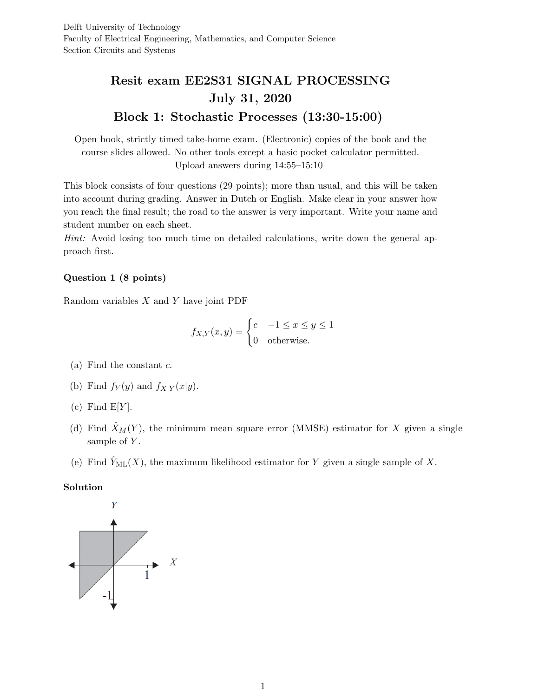# Resit exam EE2S31 SIGNAL PROCESSING July 31, 2020 Block 1: Stochastic Processes (13:30-15:00)

Open book, strictly timed take-home exam. (Electronic) copies of the book and the course slides allowed. No other tools except a basic pocket calculator permitted. Upload answers during 14:55–15:10

This block consists of four questions (29 points); more than usual, and this will be taken into account during grading. Answer in Dutch or English. Make clear in your answer how you reach the final result; the road to the answer is very important. Write your name and student number on each sheet.

Hint: Avoid losing too much time on detailed calculations, write down the general approach first.

# Question 1 (8 points)

Random variables  $X$  and  $Y$  have joint PDF

$$
f_{X,Y}(x,y) = \begin{cases} c & -1 \le x \le y \le 1\\ 0 & \text{otherwise.} \end{cases}
$$

- (a) Find the constant  $c$ .
- (b) Find  $f_Y(y)$  and  $f_{X|Y}(x|y)$ .
- (c) Find  $E[Y]$ .
- (d) Find  $\hat{X}_M(Y)$ , the minimum mean square error (MMSE) estimator for X given a single sample of  $Y$ .
- (e) Find  $\hat{Y}_{ML}(X)$ , the maximum likelihood estimator for Y given a single sample of X.

# Solution

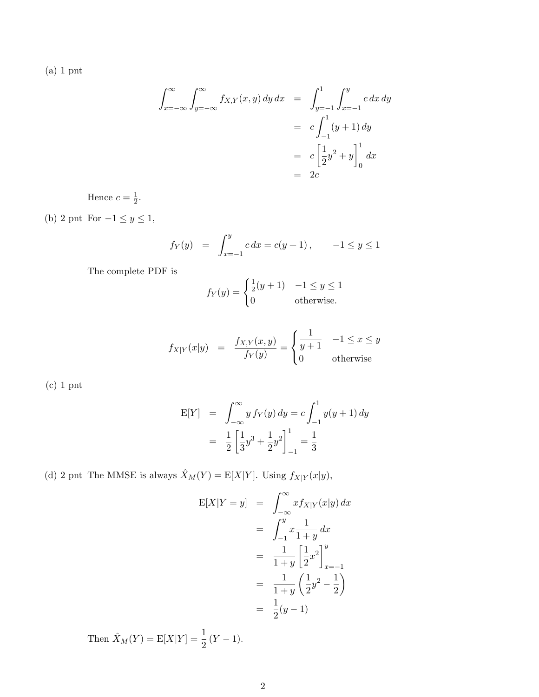(a) 1 pnt

$$
\int_{x=-\infty}^{\infty} \int_{y=-\infty}^{\infty} f_{X,Y}(x, y) \, dy \, dx = \int_{y=-1}^{1} \int_{x=-1}^{y} c \, dx \, dy
$$

$$
= c \int_{-1}^{1} (y+1) \, dy
$$

$$
= c \left[ \frac{1}{2} y^2 + y \right]_0^1 dx
$$

$$
= 2c
$$

Hence  $c=\frac{1}{2}$  $\frac{1}{2}$ .

(b) 2 pnt For  $-1 \le y \le 1$ ,

$$
f_Y(y) = \int_{x=-1}^{y} c \, dx = c(y+1), \quad -1 \le y \le 1
$$

The complete PDF is

$$
f_Y(y) = \begin{cases} \frac{1}{2}(y+1) & -1 \le y \le 1\\ 0 & \text{otherwise.} \end{cases}
$$

$$
f_{X|Y}(x|y) = \frac{f_{X,Y}(x,y)}{f_Y(y)} = \begin{cases} \frac{1}{y+1} & -1 \le x \le y \\ 0 & \text{otherwise} \end{cases}
$$

(c) 1 pnt

$$
E[Y] = \int_{-\infty}^{\infty} y f_Y(y) dy = c \int_{-1}^{1} y(y+1) dy
$$

$$
= \frac{1}{2} \left[ \frac{1}{3} y^3 + \frac{1}{2} y^2 \right]_{-1}^{1} = \frac{1}{3}
$$

(d) 2 pnt The MMSE is always  $\hat{X}_M(Y) = \mathbb{E}[X|Y]$ . Using  $f_{X|Y}(x|y)$ ,

$$
E[X|Y = y] = \int_{-\infty}^{\infty} x f_{X|Y}(x|y) dx
$$
  
= 
$$
\int_{-1}^{y} x \frac{1}{1+y} dx
$$
  
= 
$$
\frac{1}{1+y} \left[ \frac{1}{2} x^2 \right]_{x=-1}^{y}
$$
  
= 
$$
\frac{1}{1+y} \left( \frac{1}{2} y^2 - \frac{1}{2} \right)
$$
  
= 
$$
\frac{1}{2} (y - 1)
$$

Then  $\hat{X}_M(Y) = \mathbb{E}[X|Y] = \frac{1}{2}(Y - 1).$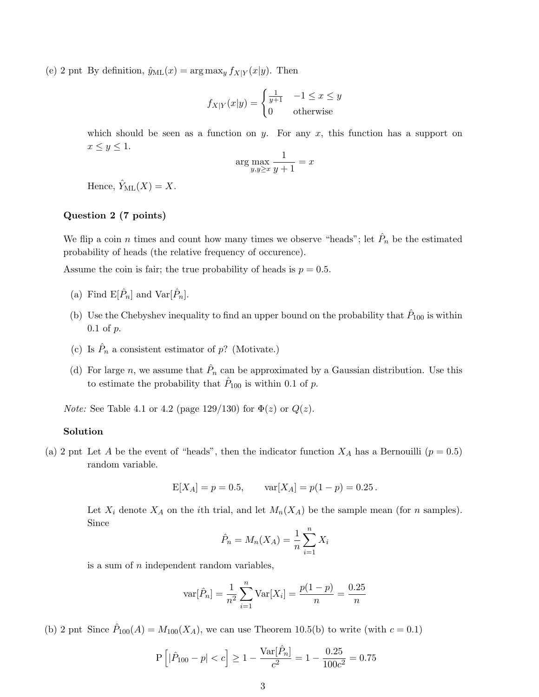(e) 2 pnt By definition,  $\hat{y}_{ML}(x) = \arg \max_{y} f_{X|Y}(x|y)$ . Then

$$
f_{X|Y}(x|y) = \begin{cases} \frac{1}{y+1} & -1 \le x \le y\\ 0 & \text{otherwise} \end{cases}
$$

which should be seen as a function on y. For any  $x$ , this function has a support on  $x \leq y \leq 1$ .

$$
\arg\max_{y,y\geq x} \frac{1}{y+1} = x
$$

Hence,  $\hat{Y}_{\text{ML}}(X) = X$ .

# Question 2 (7 points)

We flip a coin *n* times and count how many times we observe "heads"; let  $\hat{P}_n$  be the estimated probability of heads (the relative frequency of occurence).

Assume the coin is fair; the true probability of heads is  $p = 0.5$ .

- (a) Find  $\mathbb{E}[\hat{P}_n]$  and  $\text{Var}[\hat{P}_n]$ .
- (b) Use the Chebyshev inequality to find an upper bound on the probability that  $\hat{P}_{100}$  is within  $0.1$  of  $p$ .
- (c) Is  $\hat{P}_n$  a consistent estimator of p? (Motivate.)
- (d) For large n, we assume that  $\hat{P}_n$  can be approximated by a Gaussian distribution. Use this to estimate the probability that  $\hat{P}_{100}$  is within 0.1 of p.

*Note:* See Table 4.1 or 4.2 (page 129/130) for  $\Phi(z)$  or  $Q(z)$ .

#### Solution

(a) 2 pnt Let A be the event of "heads", then the indicator function  $X_A$  has a Bernouilli  $(p = 0.5)$ random variable.

$$
E[X_A] = p = 0.5,
$$
  $var[X_A] = p(1 - p) = 0.25.$ 

Let  $X_i$  denote  $X_A$  on the *i*th trial, and let  $M_n(X_A)$  be the sample mean (for *n* samples). Since

$$
\hat{P}_n = M_n(X_A) = \frac{1}{n} \sum_{i=1}^n X_i
$$

is a sum of  $n$  independent random variables,

$$
\text{var}[\hat{P}_n] = \frac{1}{n^2} \sum_{i=1}^n \text{Var}[X_i] = \frac{p(1-p)}{n} = \frac{0.25}{n}
$$

(b) 2 pnt Since  $\hat{P}_{100}(A) = M_{100}(X_A)$ , we can use Theorem 10.5(b) to write (with  $c = 0.1$ )

$$
P\left[|\hat{P}_{100} - p| < c\right] \ge 1 - \frac{Var[\hat{P}_n]}{c^2} = 1 - \frac{0.25}{100c^2} = 0.75
$$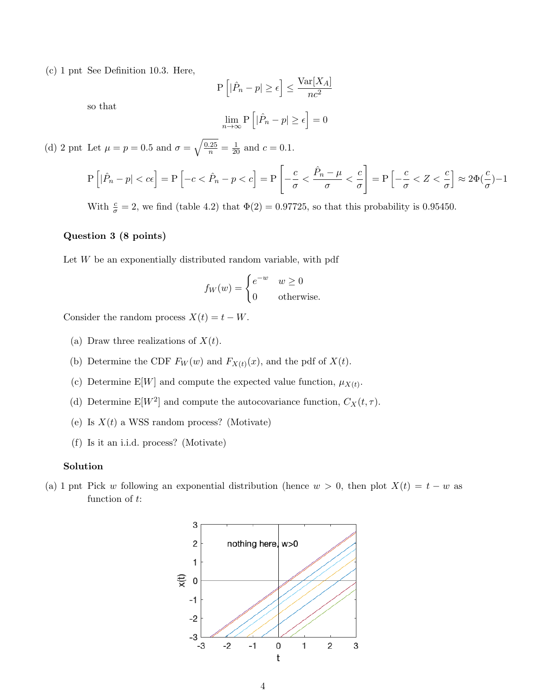(c) 1 pnt See Definition 10.3. Here,

$$
P\left[|\hat{P}_n - p| \ge \epsilon\right] \le \frac{\text{Var}[X_A]}{nc^2}
$$

so that

$$
\lim_{n \to \infty} \mathbf{P}\left[|\hat{P}_n - p| \ge \epsilon\right] = 0
$$

(d) 2 pnt Let  $\mu = p = 0.5$  and  $\sigma = \sqrt{\frac{0.25}{n}} = \frac{1}{20}$  and  $c = 0.1$ .

$$
P\left[|\hat{P}_n - p| < c\epsilon\right] = P\left[-c < \hat{P}_n - p < c\right] = P\left[-\frac{c}{\sigma} < \frac{\hat{P}_n - \mu}{\sigma} < \frac{c}{\sigma}\right] = P\left[-\frac{c}{\sigma} < Z < \frac{c}{\sigma}\right] \approx 2\Phi(\frac{c}{\sigma}) - 1
$$

With  $\frac{c}{\sigma} = 2$ , we find (table 4.2) that  $\Phi(2) = 0.97725$ , so that this probability is 0.95450.

# Question 3 (8 points)

Let  $W$  be an exponentially distributed random variable, with pdf

$$
f_W(w) = \begin{cases} e^{-w} & w \ge 0 \\ 0 & \text{otherwise.} \end{cases}
$$

Consider the random process  $X(t) = t - W$ .

- (a) Draw three realizations of  $X(t)$ .
- (b) Determine the CDF  $F_W(w)$  and  $F_{X(t)}(x)$ , and the pdf of  $X(t)$ .
- (c) Determine E[W] and compute the expected value function,  $\mu_{X(t)}$ .
- (d) Determine  $E[W^2]$  and compute the autocovariance function,  $C_X(t, \tau)$ .
- (e) Is  $X(t)$  a WSS random process? (Motivate)
- (f) Is it an i.i.d. process? (Motivate)

#### Solution

(a) 1 pnt Pick w following an exponential distribution (hence  $w > 0$ , then plot  $X(t) = t - w$  as function of t:

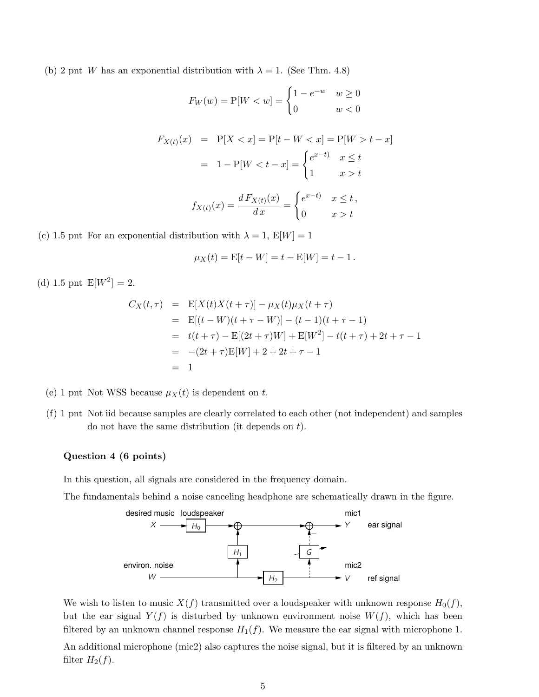(b) 2 pnt W has an exponential distribution with  $\lambda = 1$ . (See Thm. 4.8)

$$
F_W(w) = P[W < w] = \begin{cases} 1 - e^{-w} & w \ge 0 \\ 0 & w < 0 \end{cases}
$$
\n
$$
F_{X(t)}(x) = P[X < x] = P[t - W < x] = P[W > t - x]
$$
\n
$$
= 1 - P[W < t - x] = \begin{cases} e^{x - t} & x \le t \\ 1 & x > t \end{cases}
$$
\n
$$
f_{X(t)}(x) = \frac{d F_{X(t)}(x)}{dx} = \begin{cases} e^{x - t} & x \le t \\ 0 & x > t \end{cases}
$$

(c) 1.5 pnt For an exponential distribution with  $\lambda = 1$ ,  $E[W] = 1$ 

$$
\mu_X(t) = E[t - W] = t - E[W] = t - 1.
$$

(d) 1.5 pnt  $E[W^2] = 2$ .

$$
C_X(t,\tau) = \mathbb{E}[X(t)X(t+\tau)] - \mu_X(t)\mu_X(t+\tau)
$$
  
\n
$$
= \mathbb{E}[(t-W)(t+\tau-W)] - (t-1)(t+\tau-1)
$$
  
\n
$$
= t(t+\tau) - \mathbb{E}[(2t+\tau)W] + \mathbb{E}[W^2] - t(t+\tau) + 2t + \tau - 1
$$
  
\n
$$
= -(2t+\tau)\mathbb{E}[W] + 2 + 2t + \tau - 1
$$
  
\n
$$
= 1
$$

- (e) 1 pnt Not WSS because  $\mu_X(t)$  is dependent on t.
- (f) 1 pnt Not iid because samples are clearly correlated to each other (not independent) and samples do not have the same distribution (it depends on t).

#### Question 4 (6 points)

In this question, all signals are considered in the frequency domain.

The fundamentals behind a noise canceling headphone are schematically drawn in the figure.



We wish to listen to music  $X(f)$  transmitted over a loudspeaker with unknown response  $H_0(f)$ , but the ear signal  $Y(f)$  is disturbed by unknown environment noise  $W(f)$ , which has been filtered by an unknown channel response  $H_1(f)$ . We measure the ear signal with microphone 1. An additional microphone (mic2) also captures the noise signal, but it is filtered by an unknown filter  $H_2(f)$ .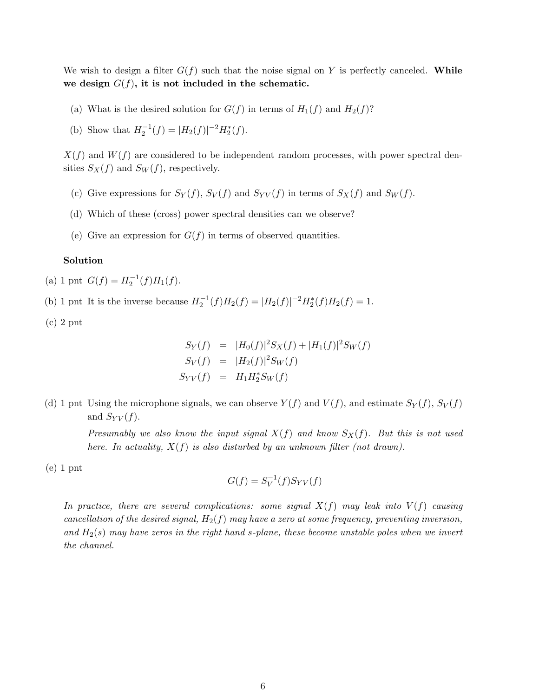We wish to design a filter  $G(f)$  such that the noise signal on Y is perfectly canceled. While we design  $G(f)$ , it is not included in the schematic.

- (a) What is the desired solution for  $G(f)$  in terms of  $H_1(f)$  and  $H_2(f)$ ?
- (b) Show that  $H_2^{-1}(f) = |H_2(f)|^{-2} H_2^*(f)$ .

 $X(f)$  and  $W(f)$  are considered to be independent random processes, with power spectral densities  $S_X(f)$  and  $S_W(f)$ , respectively.

- (c) Give expressions for  $S_Y(f)$ ,  $S_Y(f)$  and  $S_{YY}(f)$  in terms of  $S_X(f)$  and  $S_W(f)$ .
- (d) Which of these (cross) power spectral densities can we observe?
- (e) Give an expression for  $G(f)$  in terms of observed quantities.

# Solution

(a) 1 pnt  $G(f) = H_2^{-1}(f)H_1(f)$ .

(b) 1 pnt It is the inverse because  $H_2^{-1}(f)H_2(f) = |H_2(f)|^{-2}H_2^*(f)H_2(f) = 1$ .

(c) 2 pnt

$$
S_Y(f) = |H_0(f)|^2 S_X(f) + |H_1(f)|^2 S_W(f)
$$
  
\n
$$
S_Y(f) = |H_2(f)|^2 S_W(f)
$$
  
\n
$$
S_{YY}(f) = H_1 H_2^* S_W(f)
$$

(d) 1 pnt Using the microphone signals, we can observe  $Y(f)$  and  $V(f)$ , and estimate  $S_Y(f)$ ,  $S_V(f)$ and  $S_{YY}(f)$ .

> Presumably we also know the input signal  $X(f)$  and know  $S_X(f)$ . But this is not used here. In actuality,  $X(f)$  is also disturbed by an unknown filter (not drawn).

(e) 1 pnt

$$
G(f) = S_V^{-1}(f)S_{YV}(f)
$$

In practice, there are several complications: some signal  $X(f)$  may leak into  $V(f)$  causing cancellation of the desired signal,  $H_2(f)$  may have a zero at some frequency, preventing inversion, and  $H_2(s)$  may have zeros in the right hand s-plane, these become unstable poles when we invert the channel.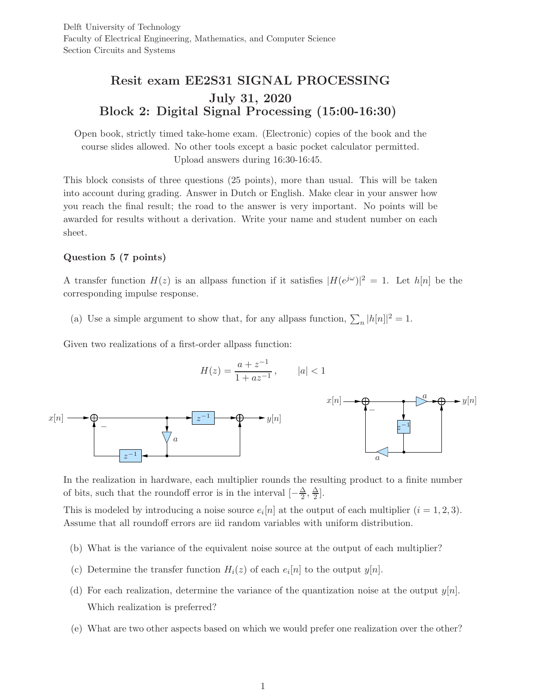# Resit exam EE2S31 SIGNAL PROCESSING July 31, 2020 Block 2: Digital Signal Processing (15:00-16:30)

Open book, strictly timed take-home exam. (Electronic) copies of the book and the course slides allowed. No other tools except a basic pocket calculator permitted. Upload answers during 16:30-16:45.

This block consists of three questions (25 points), more than usual. This will be taken into account during grading. Answer in Dutch or English. Make clear in your answer how you reach the final result; the road to the answer is very important. No points will be awarded for results without a derivation. Write your name and student number on each sheet.

# Question 5 (7 points)

A transfer function  $H(z)$  is an allpass function if it satisfies  $|H(e^{j\omega})|^2 = 1$ . Let  $h[n]$  be the corresponding impulse response.

(a) Use a simple argument to show that, for any allpass function,  $\sum_n |h[n]|^2 = 1$ .

Given two realizations of a first-order allpass function:

$$
H(z) = \frac{a + z^{-1}}{1 + az^{-1}}, \qquad |a| < 1
$$



In the realization in hardware, each multiplier rounds the resulting product to a finite number of bits, such that the roundoff error is in the interval  $\left[-\frac{\Delta}{2}\right]$  $\frac{\Delta}{2}$ ,  $\frac{\Delta}{2}$  $\frac{\Delta}{2}$ .

This is modeled by introducing a noise source  $e_i[n]$  at the output of each multiplier  $(i = 1, 2, 3)$ . Assume that all roundoff errors are iid random variables with uniform distribution.

- (b) What is the variance of the equivalent noise source at the output of each multiplier?
- (c) Determine the transfer function  $H_i(z)$  of each  $e_i[n]$  to the output  $y[n]$ .
- (d) For each realization, determine the variance of the quantization noise at the output  $y[n]$ . Which realization is preferred?
- (e) What are two other aspects based on which we would prefer one realization over the other?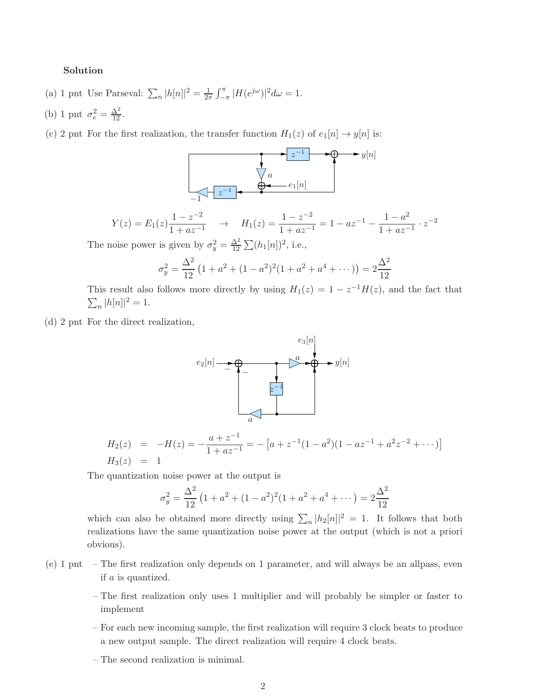# Solution

- (a) 1 pnt Use Parseval:  $\sum_n |h[n]|^2 = \frac{1}{2n}$  $\frac{1}{2\pi} \int_{-\pi}^{\pi} |H(e^{j\omega})|^2 d\omega = 1.$
- (b) 1 pnt  $\sigma_e^2 = \frac{\Delta^2}{12}$ .

(c) 2 pnt For the first realization, the transfer function  $H_1(z)$  of  $e_1[n] \to y[n]$  is:



The noise power is given by  $\sigma_y^2 = \frac{\Delta^2}{12}$  $\frac{\Delta^2}{12} \sum (h_1[n])^2$ , i.e.,

$$
\sigma_y^2 = \frac{\Delta^2}{12} \left( 1 + a^2 + (1 - a^2)^2 (1 + a^2 + a^4 + \dots) \right) = 2 \frac{\Delta^2}{12}
$$

This result also follows more directly by using  $H_1(z) = 1 - z^{-1}H(z)$ , and the fact that  $\sum_{n} |h[n]|^2 = 1.$ 

(d) 2 pnt For the direct realization,



$$
H_2(z) = -H(z) = -\frac{a+z^{-1}}{1+az^{-1}} = -[a+z^{-1}(1-a^2)(1-az^{-1}+a^2z^{-2}+\cdots)]
$$
  
\n
$$
H_3(z) = 1
$$

The quantization noise power at the output is

$$
\sigma_y^2 = \frac{\Delta^2}{12} \left( 1 + a^2 + (1 - a^2)^2 (1 + a^2 + a^4 + \dots) \right) = 2 \frac{\Delta^2}{12}
$$

which can also be obtained more directly using  $\sum_n |h_2[n]|^2 = 1$ . It follows that both realizations have the same quantization noise power at the output (which is not a priori obvious).

- (e) 1 pnt The first realization only depends on 1 parameter, and will always be an allpass, even if a is quantized.
	- The first realization only uses 1 multiplier and will probably be simpler or faster to implement
	- For each new incoming sample, the first realization will require 3 clock beats to produce a new output sample. The direct realization will require 4 clock beats.
	- The second realization is minimal.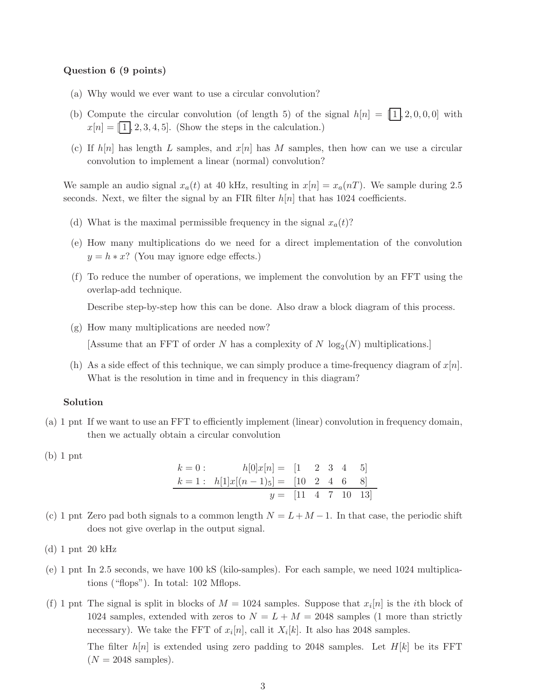#### Question 6 (9 points)

- (a) Why would we ever want to use a circular convolution?
- (b) Compute the circular convolution (of length 5) of the signal  $h[n] = [1, 2, 0, 0, 0]$  with  $x[n]=\fbox{1},2,3,4,5].$  (Show the steps in the calculation.)
- (c) If  $h[n]$  has length L samples, and  $x[n]$  has M samples, then how can we use a circular convolution to implement a linear (normal) convolution?

We sample an audio signal  $x_a(t)$  at 40 kHz, resulting in  $x[n] = x_a(nT)$ . We sample during 2.5 seconds. Next, we filter the signal by an FIR filter  $h[n]$  that has 1024 coefficients.

- (d) What is the maximal permissible frequency in the signal  $x_a(t)$ ?
- (e) How many multiplications do we need for a direct implementation of the convolution  $y = h * x$ ? (You may ignore edge effects.)
- (f) To reduce the number of operations, we implement the convolution by an FFT using the overlap-add technique.

Describe step-by-step how this can be done. Also draw a block diagram of this process.

- (g) How many multiplications are needed now? [Assume that an FFT of order N has a complexity of N  $log_2(N)$  multiplications.]
- (h) As a side effect of this technique, we can simply produce a time-frequency diagram of  $x[n]$ . What is the resolution in time and in frequency in this diagram?

#### Solution

- (a) 1 pnt If we want to use an FFT to efficiently implement (linear) convolution in frequency domain, then we actually obtain a circular convolution
- (b) 1 pnt

$$
k = 0: \t h[0]x[n] = [1 \t 2 \t 3 \t 4 \t 5]
$$
  
\n
$$
k = 1: \t h[1]x[(n-1)_5] = [10 \t 2 \t 4 \t 6 \t 8]
$$
  
\n
$$
y = [11 \t 4 \t 7 \t 10 \t 13]
$$

- (c) 1 pnt Zero pad both signals to a common length  $N = L + M 1$ . In that case, the periodic shift does not give overlap in the output signal.
- (d) 1 pnt 20 kHz
- (e) 1 pnt In 2.5 seconds, we have 100 kS (kilo-samples). For each sample, we need 1024 multiplications ("flops"). In total: 102 Mflops.
- (f) 1 pnt The signal is split in blocks of  $M = 1024$  samples. Suppose that  $x_i[n]$  is the *i*th block of 1024 samples, extended with zeros to  $N = L + M = 2048$  samples (1 more than strictly necessary). We take the FFT of  $x_i[n]$ , call it  $X_i[k]$ . It also has 2048 samples. The filter  $h[n]$  is extended using zero padding to 2048 samples. Let  $H[k]$  be its FFT  $(N = 2048$  samples).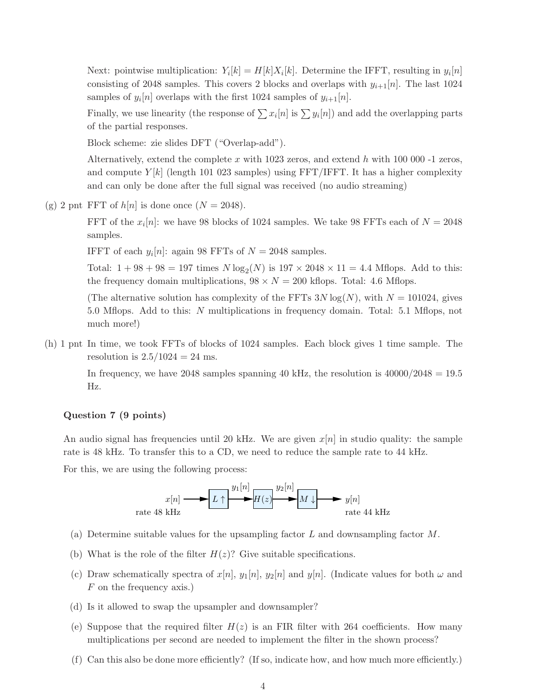Next: pointwise multiplication:  $Y_i[k] = H[k]X_i[k]$ . Determine the IFFT, resulting in  $y_i[n]$ consisting of 2048 samples. This covers 2 blocks and overlaps with  $y_{i+1}[n]$ . The last 1024 samples of  $y_i[n]$  overlaps with the first 1024 samples of  $y_{i+1}[n]$ .

Finally, we use linearity (the response of  $\sum x_i[n]$  is  $\sum y_i[n]$ ) and add the overlapping parts of the partial responses.

Block scheme: zie slides DFT ("Overlap-add").

Alternatively, extend the complete  $x$  with 1023 zeros, and extend  $h$  with 100 000 -1 zeros, and compute  $Y[k]$  (length 101 023 samples) using FFT/IFFT. It has a higher complexity and can only be done after the full signal was received (no audio streaming)

(g) 2 pnt FFT of  $h[n]$  is done once  $(N = 2048)$ .

FFT of the  $x_i[n]$ : we have 98 blocks of 1024 samples. We take 98 FFTs each of  $N = 2048$ samples.

IFFT of each  $y_i[n]$ : again 98 FFTs of  $N = 2048$  samples.

Total:  $1 + 98 + 98 = 197$  times  $N \log_2(N)$  is  $197 \times 2048 \times 11 = 4.4$  Mflops. Add to this: the frequency domain multiplications,  $98 \times N = 200$  kflops. Total: 4.6 Mflops.

(The alternative solution has complexity of the FFTs  $3N \log(N)$ , with  $N = 101024$ , gives 5.0 Mflops. Add to this: N multiplications in frequency domain. Total: 5.1 Mflops, not much more!)

(h) 1 pnt In time, we took FFTs of blocks of 1024 samples. Each block gives 1 time sample. The resolution is  $2.5/1024 = 24$  ms.

In frequency, we have 2048 samples spanning 40 kHz, the resolution is  $40000/2048 = 19.5$ Hz.

#### Question 7 (9 points)

An audio signal has frequencies until 20 kHz. We are given  $x[n]$  in studio quality: the sample rate is 48 kHz. To transfer this to a CD, we need to reduce the sample rate to 44 kHz.

For this, we are using the following process:



- (a) Determine suitable values for the upsampling factor  $L$  and downsampling factor  $M$ .
- (b) What is the role of the filter  $H(z)$ ? Give suitable specifications.
- (c) Draw schematically spectra of  $x[n], y_1[n], y_2[n]$  and  $y[n]$ . (Indicate values for both  $\omega$  and F on the frequency axis.)
- (d) Is it allowed to swap the upsampler and downsampler?
- (e) Suppose that the required filter  $H(z)$  is an FIR filter with 264 coefficients. How many multiplications per second are needed to implement the filter in the shown process?
- (f) Can this also be done more efficiently? (If so, indicate how, and how much more efficiently.)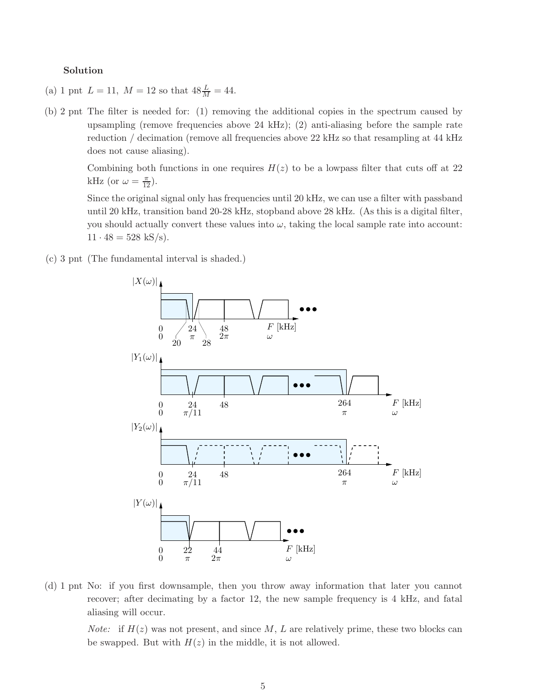#### Solution

- (a) 1 pnt  $L = 11$ ,  $M = 12$  so that  $48\frac{L}{M} = 44$ .
- (b) 2 pnt The filter is needed for: (1) removing the additional copies in the spectrum caused by upsampling (remove frequencies above 24 kHz); (2) anti-aliasing before the sample rate reduction / decimation (remove all frequencies above 22 kHz so that resampling at 44 kHz does not cause aliasing).

Combining both functions in one requires  $H(z)$  to be a lowpass filter that cuts off at 22 kHz (or  $\omega = \frac{\pi}{12}$ ).

Since the original signal only has frequencies until 20 kHz, we can use a filter with passband until 20 kHz, transition band 20-28 kHz, stopband above 28 kHz. (As this is a digital filter, you should actually convert these values into  $\omega$ , taking the local sample rate into account:  $11 \cdot 48 = 528$  kS/s).

(c) 3 pnt (The fundamental interval is shaded.)



(d) 1 pnt No: if you first downsample, then you throw away information that later you cannot recover; after decimating by a factor 12, the new sample frequency is 4 kHz, and fatal aliasing will occur.

*Note:* if  $H(z)$  was not present, and since M, L are relatively prime, these two blocks can be swapped. But with  $H(z)$  in the middle, it is not allowed.